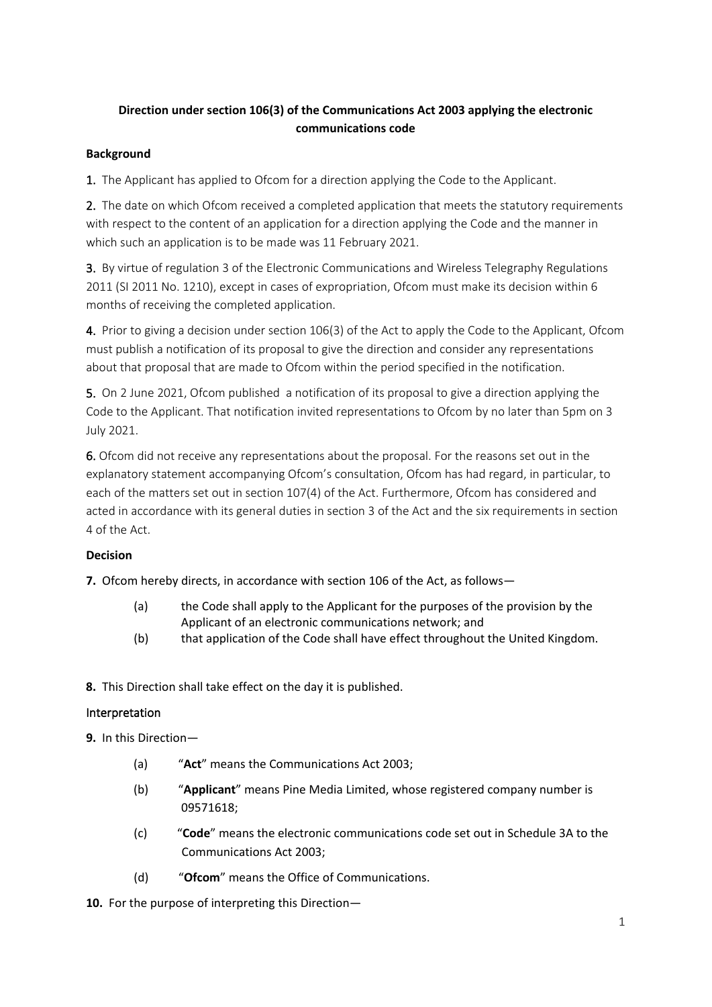# **Direction under section 106(3) of the Communications Act 2003 applying the electronic communications code**

### **Background**

1. The Applicant has applied to Ofcom for a direction applying the Code to the Applicant.

2. The date on which Ofcom received a completed application that meets the statutory requirements with respect to the content of an application for a direction applying the Code and the manner in which such an application is to be made was 11 February 2021.

3. By virtue of regulation 3 of the Electronic Communications and Wireless Telegraphy Regulations 2011 (SI 2011 No. 1210), except in cases of expropriation, Ofcom must make its decision within 6 months of receiving the completed application.

4. Prior to giving a decision under section 106(3) of the Act to apply the Code to the Applicant, Ofcom must publish a notification of its proposal to give the direction and consider any representations about that proposal that are made to Ofcom within the period specified in the notification.

5. On 2 June 2021, Ofcom published a notification of its proposal to give a direction applying the Code to the Applicant. That notification invited representations to Ofcom by no later than 5pm on 3 July 2021.

6. Ofcom did not receive any representations about the proposal. For the reasons set out in the explanatory statement accompanying Ofcom's consultation, Ofcom has had regard, in particular, to each of the matters set out in section 107(4) of the Act. Furthermore, Ofcom has considered and acted in accordance with its general duties in section 3 of the Act and the six requirements in section 4 of the Act.

### **Decision**

**7.** Ofcom hereby directs, in accordance with section 106 of the Act, as follows—

- (a) the Code shall apply to the Applicant for the purposes of the provision by the Applicant of an electronic communications network; and
- (b) that application of the Code shall have effect throughout the United Kingdom.

**8.** This Direction shall take effect on the day it is published.

### Interpretation

**9.** In this Direction—

- (a) "**Act**" means the Communications Act 2003;
- (b) "**Applicant**" means Pine Media Limited, whose registered company number is 09571618;
- (c) "**Code**" means the electronic communications code set out in Schedule 3A to the Communications Act 2003;
- (d) "**Ofcom**" means the Office of Communications.
- **10.** For the purpose of interpreting this Direction—